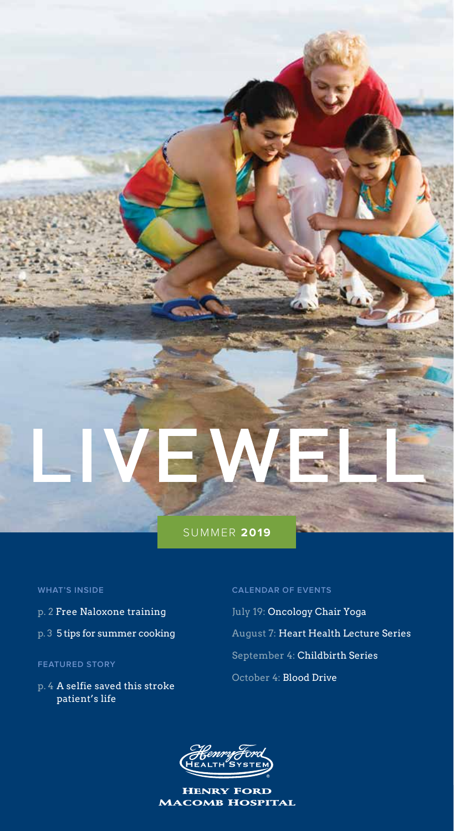

#### **WHAT'S INSIDE**

- p. 2 Free Naloxone training
- p. 3 5 tips for summer cooking

#### **FEATURED STORY**

p. 4 A selfie saved this stroke patient's life

#### **CALENDAR OF EVENTS**

July 19: Oncology Chair Yoga August 7: Heart Health Lecture Series September 4: Childbirth Series October 4: Blood Drive



Henry Ford Macomb Hospital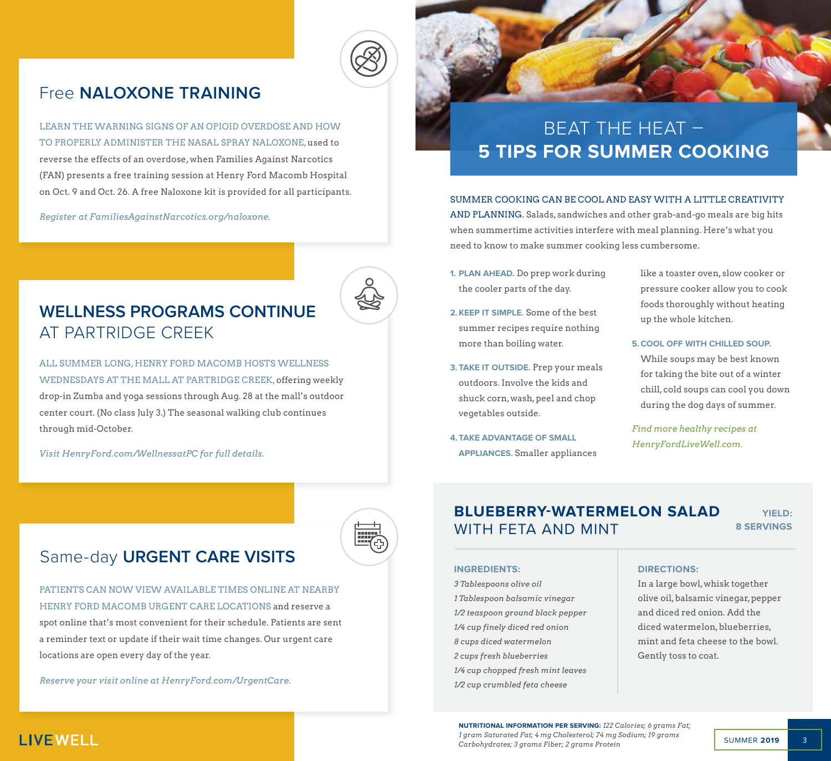

# Free **NALOXONE TRAINING**

LEARN THE WARNING SIGNS OF AN OPIOID OVERDOSE AND HOW TO PROPERLY ADMINISTER THE NASAL SPRAY NALOXONE, used to reverse the effects of an overdose, when Families Against Narcotics (FAN) presents a free training session at Henry Ford Macomb Hospital on Oct. 9 and Oct. 26. A free Naloxone kit is provided for all participants.

*Register at FamiliesAgainstNarcotics.org/naloxone.*



# **WELLNESS PROGRAMS CONTINUE** AT PARTRIDGE CREEK

ALL SUMMER LONG, HENRY FORD MACOMB HOSTS WELLNESS WEDNESDAYS AT THE MALL AT PARTRIDGE CREEK, offering weekly drop-in Zumba and yoga sessions through Aug. 28 at the mall's outdoor center court. (No class July 3.) The seasonal walking club continues through mid-October.

*Visit HenryFord.com/WellnessatPC for full details.*

# BEAT THE HEAT – **5 TIPS FOR SUMMER COOKING**

SUMMER COOKING CAN BE COOL AND EASY WITH A LITTLE CREATIVITY AND PLANNING. Salads, sandwiches and other grab-and-go meals are big hits when summertime activities interfere with meal planning. Here's what you need to know to make summer cooking less cumbersome.

- **1. PLAN AHEAD.** Do prep work during the cooler parts of the day.
- **2.KEEP IT SIMPLE.** Some of the best summer recipes require nothing more than boiling water.
- **3. TAKE IT OUTSIDE.** Prep your meals outdoors. Involve the kids and shuck corn, wash, peel and chop vegetables outside.
- **4. TAKE ADVANTAGE OF SMALL APPLIANCES.** Smaller appliances

like a toaster oven, slow cooker or pressure cooker allow you to cook foods thoroughly without heating up the whole kitchen.

#### **5.COOL OFF WITH CHILLED SOUP.**

While soups may be best known for taking the bite out of a winter chill, cold soups can cool you down during the dog days of summer.

*Find more healthy recipes at HenryFordLiveWell.com.*

# Same-day **URGENT CARE VISITS**

PATIENTS CAN NOW VIEW AVAILABLE TIMES ONLINE AT NEARBY HENRY FORD MACOMB URGENT CARE LOCATIONS and reserve a spot online that's most convenient for their schedule. Patients are sent a reminder text or update if their wait time changes. Our urgent care locations are open every day of the year.

*Reserve your visit online at HenryFord.com/UrgentCare.*

# **BLUEBERRY-WATERMELON SALAD** WITH FETA AND MINT

**YIELD: 8 SERVINGS**

#### **INGREDIENTS:**

*3 Tablespoons olive oil 1 Tablespoon balsamic vinegar 1/2 teaspoon ground black pepper 1/4 cup finely diced red onion 8 cups diced watermelon 2 cups fresh blueberries 1/4 cup chopped fresh mint leaves 1/2 cup crumbled feta cheese*

#### **DIRECTIONS:**

In a large bowl, whisk together olive oil, balsamic vinegar, pepper and diced red onion. Add the diced watermelon, blueberries, mint and feta cheese to the bowl. Gently toss to coat.

**NUTRITIONAL INFORMATION PER SERVING:** *122 Calories; 6 grams Fat; 1 gram Saturated Fat; 4 mg Cholesterol; 74 mg Sodium; 19 grams Carbohydrates; 3 grams Fiber; 2 grams Protein*

# **LIVEWELL**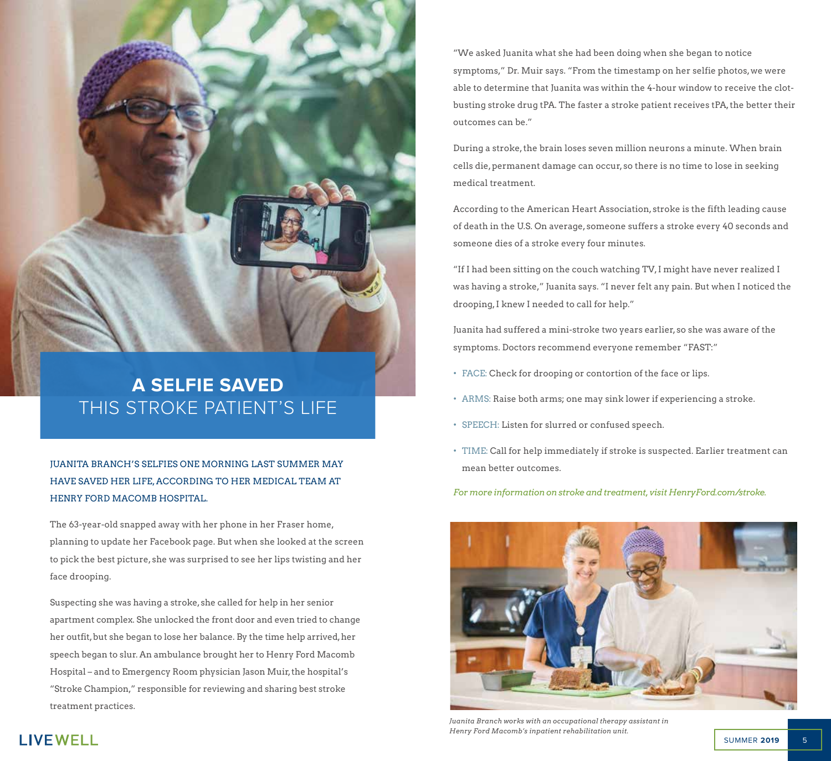

# **A SELFIE SAVED** THIS STROKE PATIENT'S LIFE

JUANITA BRANCH'S SELFIES ONE MORNING LAST SUMMER MAY HAVE SAVED HER LIFE, ACCORDING TO HER MEDICAL TEAM AT HENRY FORD MACOMB HOSPITAL.

The 63-year-old snapped away with her phone in her Fraser home, planning to update her Facebook page. But when she looked at the screen to pick the best picture, she was surprised to see her lips twisting and her face drooping.

Suspecting she was having a stroke, she called for help in her senior apartment complex. She unlocked the front door and even tried to change her outfit, but she began to lose her balance. By the time help arrived, her speech began to slur. An ambulance brought her to Henry Ford Macomb Hospital – and to Emergency Room physician Jason Muir, the hospital's "Stroke Champion," responsible for reviewing and sharing best stroke treatment practices.

"We asked Juanita what she had been doing when she began to notice symptoms," Dr. Muir says. "From the timestamp on her selfie photos, we were able to determine that Juanita was within the 4-hour window to receive the clotbusting stroke drug tPA. The faster a stroke patient receives tPA, the better their outcomes can be."

During a stroke, the brain loses seven million neurons a minute. When brain cells die, permanent damage can occur, so there is no time to lose in seeking medical treatment.

According to the American Heart Association, stroke is the fifth leading cause of death in the U.S. On average, someone suffers a stroke every 40 seconds and someone dies of a stroke every four minutes.

"If I had been sitting on the couch watching TV, I might have never realized I was having a stroke," Juanita says. "I never felt any pain. But when I noticed the drooping, I knew I needed to call for help."

Juanita had suffered a mini-stroke two years earlier, so she was aware of the symptoms. Doctors recommend everyone remember "FAST:"

- FACE: Check for drooping or contortion of the face or lips.
- ARMS: Raise both arms; one may sink lower if experiencing a stroke.
- SPEECH: Listen for slurred or confused speech.
- TIME: Call for help immediately if stroke is suspected. Earlier treatment can mean better outcomes.

*For more information on stroke and treatment, visit HenryFord.com/stroke.*



*Juanita Branch works with an occupational therapy assistant in Henry Ford Macomb's inpatient rehabilitation unit.*

# **LIVEWELL**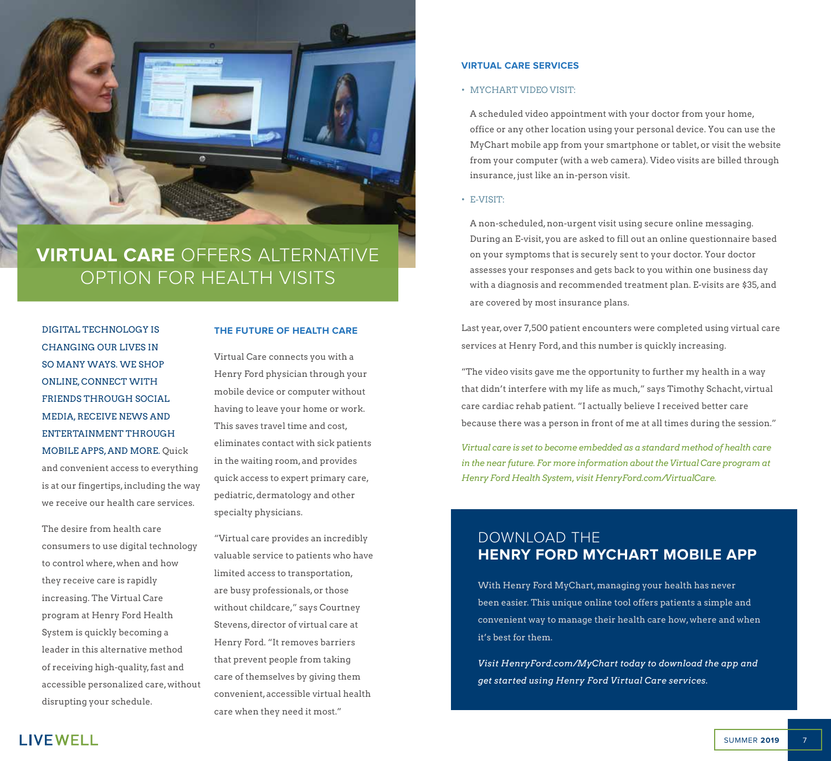

# **VIRTUAL CARE** OFFERS ALTERNATIVE OPTION FOR HEALTH VISITS

DIGITAL TECHNOLOGY IS CHANGING OUR LIVES IN SO MANY WAYS. WE SHOP ONLINE, CONNECT WITH FRIENDS THROUGH SOCIAL MEDIA, RECEIVE NEWS AND ENTERTAINMENT THROUGH MOBILE APPS, AND MORE. Quick and convenient access to everything is at our fingertips, including the way we receive our health care services.

The desire from health care consumers to use digital technology to control where, when and how they receive care is rapidly increasing. The Virtual Care program at Henry Ford Health System is quickly becoming a leader in this alternative method of receiving high-quality, fast and accessible personalized care, without disrupting your schedule.

#### **THE FUTURE OF HEALTH CARE**

Virtual Care connects you with a Henry Ford physician through your mobile device or computer without having to leave your home or work. This saves travel time and cost, eliminates contact with sick patients in the waiting room, and provides quick access to expert primary care, pediatric, dermatology and other specialty physicians.

"Virtual care provides an incredibly valuable service to patients who have limited access to transportation, are busy professionals, or those without childcare," says Courtney Stevens, director of virtual care at Henry Ford. "It removes barriers that prevent people from taking care of themselves by giving them convenient, accessible virtual health care when they need it most."

#### **VIRTUAL CARE SERVICES**

#### • MYCHART VIDEO VISIT:

A scheduled video appointment with your doctor from your home, office or any other location using your personal device. You can use the MyChart mobile app from your smartphone or tablet, or visit the website from your computer (with a web camera). Video visits are billed through insurance, just like an in-person visit.

#### • E-VISIT:

A non-scheduled, non-urgent visit using secure online messaging. During an E-visit, you are asked to fill out an online questionnaire based on your symptoms that is securely sent to your doctor. Your doctor assesses your responses and gets back to you within one business day with a diagnosis and recommended treatment plan. E-visits are \$35, and are covered by most insurance plans.

Last year, over 7,500 patient encounters were completed using virtual care services at Henry Ford, and this number is quickly increasing.

"The video visits gave me the opportunity to further my health in a way that didn't interfere with my life as much," says Timothy Schacht, virtual care cardiac rehab patient. "I actually believe I received better care because there was a person in front of me at all times during the session."

*Virtual care is set to become embedded as a standard method of health care in the near future. For more information about the Virtual Care program at Henry Ford Health System, visit HenryFord.com/VirtualCare.* 

# DOWNLOAD THE **HENRY FORD MYCHART MOBILE APP**

With Henry Ford MyChart, managing your health has never been easier. This unique online tool offers patients a simple and convenient way to manage their health care how, where and when it's best for them.

*Visit HenryFord.com/MyChart today to download the app and get started using Henry Ford Virtual Care services.*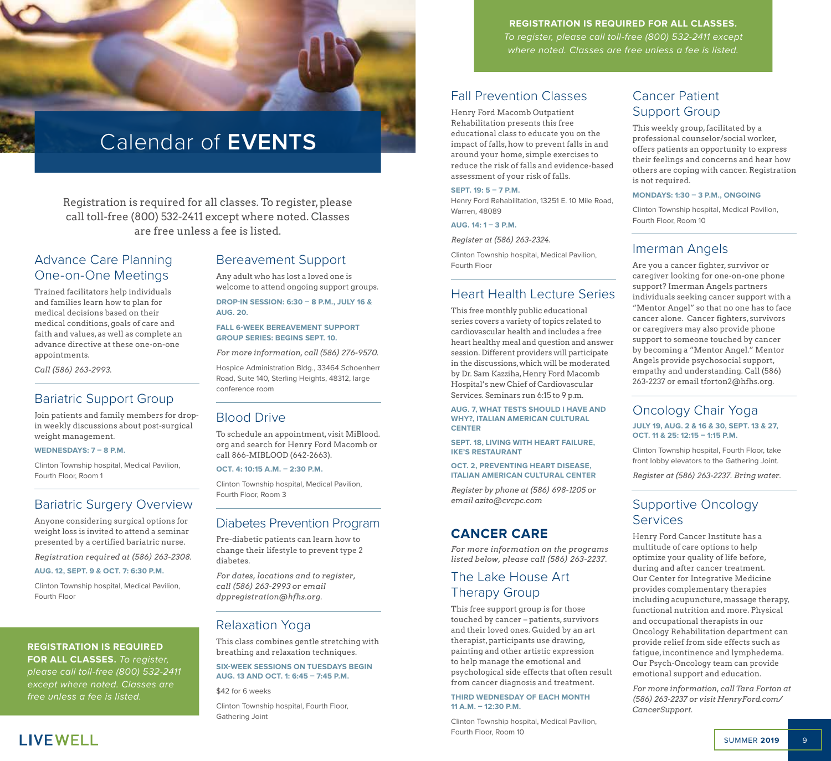# Calendar of **EVENTS**

Registration is required for all classes. To register, please call toll-free (800) 532-2411 except where noted. Classes are free unless a fee is listed.

# Advance Care Planning One-on-One Meetings

Trained facilitators help individuals and families learn how to plan for medical decisions based on their medical conditions, goals of care and faith and values, as well as complete an advance directive at these one-on-one appointments.

*Call (586) 263-2993.*

# Bariatric Support Group

Join patients and family members for dropin weekly discussions about post-surgical weight management.

#### **WEDNESDAYS: 7 – 8 P.M.**

Clinton Township hospital, Medical Pavilion, Fourth Floor, Room 1

### Bariatric Surgery Overview

Anyone considering surgical options for weight loss is invited to attend a seminar presented by a certified bariatric nurse.

*Registration required at (586) 263-2308.*

#### **AUG. 12, SEPT. 9 & OCT. 7: 6:30 P.M.**

Clinton Township hospital, Medical Pavilion, Fourth Floor

#### **REGISTRATION IS REQUIRED**

**FOR ALL CLASSES.** *To register, please call toll-free (800) 532-2411 except where noted. Classes are free unless a fee is listed.*

### Bereavement Support

Any adult who has lost a loved one is welcome to attend ongoing support groups.

**DROP-IN SESSION: 6:30 – 8 P.M., JULY 16 & AUG. 20.** 

**FALL 6-WEEK BEREAVEMENT SUPPORT GROUP SERIES: BEGINS SEPT. 10.**

*For more information, call (586) 276-9570.* 

Hospice Administration Bldg., 33464 Schoenherr Road, Suite 140, Sterling Heights, 48312, large conference room

#### Blood Drive

To schedule an appointment, visit MiBlood. org and search for Henry Ford Macomb or call 866-MIBLOOD (642-2663).

#### **OCT. 4: 10:15 A.M. – 2:30 P.M.**

Clinton Township hospital, Medical Pavilion, Fourth Floor, Room 3

#### Diabetes Prevention Program

Pre-diabetic patients can learn how to change their lifestyle to prevent type 2 diabetes.

*For dates, locations and to register, call (586) 263-2993 or email dppregistration@hfhs.org.*

#### Relaxation Yoga

This class combines gentle stretching with breathing and relaxation techniques.

**SIX-WEEK SESSIONS ON TUESDAYS BEGIN AUG. 13 AND OCT. 1: 6:45 – 7:45 P.M.**

\$42 for 6 weeks

Clinton Township hospital, Fourth Floor, Gathering Joint

#### **REGISTRATION IS REQUIRED FOR ALL CLASSES.**

*To register, please call toll-free (800) 532-2411 except where noted. Classes are free unless a fee is listed.*

# Fall Prevention Classes

Henry Ford Macomb Outpatient Rehabilitation presents this free educational class to educate you on the impact of falls, how to prevent falls in and around your home, simple exercises to reduce the risk of falls and evidence-based assessment of your risk of falls.

#### **SEPT. 19: 5 – 7 P.M.**

Henry Ford Rehabilitation, 13251 E. 10 Mile Road, Warren, 48089

**AUG. 14: 1 – 3 P.M.**

*Register at (586) 263-2324.*

Clinton Township hospital, Medical Pavilion, Fourth Floor

# Heart Health Lecture Series

This free monthly public educational series covers a variety of topics related to cardiovascular health and includes a free heart healthy meal and question and answer session. Different providers will participate in the discussions, which will be moderated by Dr. Sam Kazziha, Henry Ford Macomb Hospital's new Chief of Cardiovascular Services. Seminars run 6:15 to 9 p.m.

**AUG. 7, WHAT TESTS SHOULD I HAVE AND WHY?, ITALIAN AMERICAN CULTURAL CENTER**

**SEPT. 18, LIVING WITH HEART FAILURE, IKE'S RESTAURANT**

**OCT. 2, PREVENTING HEART DISEASE, ITALIAN AMERICAN CULTURAL CENTER**

*Register by phone at (586) 698-1205 or email azito@cvcpc.com*

### **CANCER CARE**

*For more information on the programs listed below, please call (586) 263-2237.*

### The Lake House Art Therapy Group

This free support group is for those touched by cancer – patients, survivors and their loved ones. Guided by an art therapist, participants use drawing, painting and other artistic expression to help manage the emotional and psychological side effects that often result from cancer diagnosis and treatment.

#### **THIRD WEDNESDAY OF EACH MONTH 11 A.M. – 12:30 P.M.**

Clinton Township hospital, Medical Pavilion, Fourth Floor, Room 10

# Cancer Patient Support Group

This weekly group, facilitated by a professional counselor/social worker, offers patients an opportunity to express their feelings and concerns and hear how others are coping with cancer. Registration is not required.

#### **MONDAYS: 1:30 – 3 P.M., ONGOING**

Clinton Township hospital, Medical Pavilion, Fourth Floor, Room 10

### Imerman Angels

Are you a cancer fighter, survivor or caregiver looking for one-on-one phone support? Imerman Angels partners individuals seeking cancer support with a "Mentor Angel" so that no one has to face cancer alone. Cancer fighters, survivors or caregivers may also provide phone support to someone touched by cancer by becoming a "Mentor Angel." Mentor Angels provide psychosocial support, empathy and understanding. Call (586) 263-2237 or email tforton2@hfhs.org.

#### Oncology Chair Yoga **JULY 19, AUG. 2 & 16 & 30, SEPT. 13 & 27, OCT. 11 & 25: 12:15 – 1:15 P.M.**

Clinton Township hospital, Fourth Floor, take front lobby elevators to the Gathering Joint.

*Register at (586) 263-2237. Bring water.*

# Supportive Oncology **Services**

Henry Ford Cancer Institute has a multitude of care options to help optimize your quality of life before, during and after cancer treatment. Our Center for Integrative Medicine provides complementary therapies including acupuncture, massage therapy, functional nutrition and more. Physical and occupational therapists in our Oncology Rehabilitation department can provide relief from side effects such as fatigue, incontinence and lymphedema. Our Psych-Oncology team can provide emotional support and education.

*For more information, call Tara Forton at (586) 263-2237 or visit HenryFord.com/ CancerSupport.*

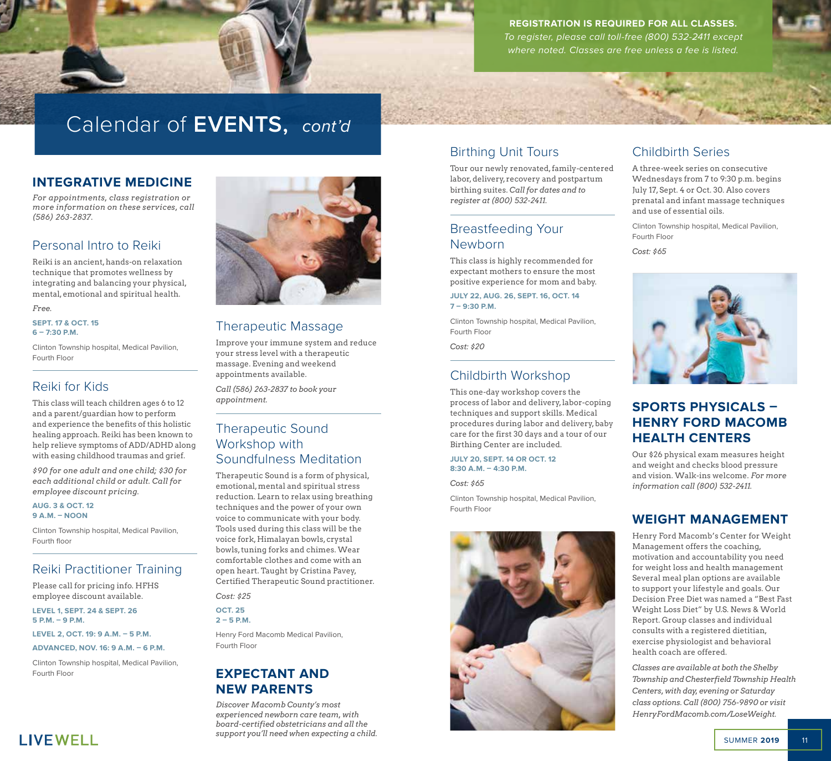

**REGISTRATION IS REQUIRED FOR ALL CLASSES.**  *To register, please call toll-free (800) 532-2411 except where noted. Classes are free unless a fee is listed.*

# Calendar of **EVENTS,** *cont'd*

### **INTEGRATIVE MEDICINE**

*For appointments, class registration or more information on these services, call (586) 263-2837.*

# Personal Intro to Reiki

Reiki is an ancient, hands-on relaxation technique that promotes wellness by integrating and balancing your physical, mental, emotional and spiritual health.

#### *Free.*

**SEPT. 17 & OCT. 15 6 – 7:30 P.M.**

Clinton Township hospital, Medical Pavilion, Fourth Floor

# Reiki for Kids

This class will teach children ages 6 to 12 and a parent/guardian how to perform and experience the benefits of this holistic healing approach. Reiki has been known to help relieve symptoms of ADD/ADHD along with easing childhood traumas and grief.

*\$90 for one adult and one child; \$30 for each additional child or adult. Call for employee discount pricing.* 

**AUG. 3 & OCT. 12 9 A.M. – NOON** 

Clinton Township hospital, Medical Pavilion, Fourth floor

# Reiki Practitioner Training

Please call for pricing info. HFHS employee discount available.

**LEVEL 1, SEPT. 24 & SEPT. 26 5 P.M. – 9 P.M.** 

**LEVEL 2, OCT. 19: 9 A.M. – 5 P.M.**

**ADVANCED, NOV. 16: 9 A.M. – 6 P.M.**

Clinton Township hospital, Medical Pavilion, Fourth Floor



# Therapeutic Massage

Improve your immune system and reduce your stress level with a therapeutic massage. Evening and weekend appointments available.

*Call (586) 263-2837 to book your appointment.* 

# Therapeutic Sound Workshop with Soundfulness Meditation

Therapeutic Sound is a form of physical, emotional, mental and spiritual stress reduction. Learn to relax using breathing techniques and the power of your own voice to communicate with your body. Tools used during this class will be the voice fork, Himalayan bowls, crystal bowls, tuning forks and chimes. Wear comfortable clothes and come with an open heart. Taught by Cristina Pavey, Certified Therapeutic Sound practitioner.

*Cost: \$25* 

**OCT. 25 2 – 5 P.M.**

Henry Ford Macomb Medical Pavilion, Fourth Floor

# **EXPECTANT AND NEW PARENTS**

*Discover Macomb County's most experienced newborn care team, with board-certified obstetricians and all the support you'll need when expecting a child.* 

# Birthing Unit Tours

Tour our newly renovated, family-centered labor, delivery, recovery and postpartum birthing suites. *Call for dates and to register at (800) 532-2411.*

# Breastfeeding Your Newborn

This class is highly recommended for expectant mothers to ensure the most positive experience for mom and baby.

**JULY 22, AUG. 26, SEPT. 16, OCT. 14 7 – 9:30 P.M.** 

Clinton Township hospital, Medical Pavilion, Fourth Floor

*Cost: \$20*

# Childbirth Workshop

This one-day workshop covers the process of labor and delivery, labor-coping techniques and support skills. Medical procedures during labor and delivery, baby care for the first 30 days and a tour of our Birthing Center are included.

**JULY 20, SEPT. 14 OR OCT. 12 8:30 A.M. – 4:30 P.M.**

*Cost: \$65*

Clinton Township hospital, Medical Pavilion, Fourth Floor



# Childbirth Series

A three-week series on consecutive Wednesdays from 7 to 9:30 p.m. begins July 17, Sept. 4 or Oct. 30. Also covers prenatal and infant massage techniques and use of essential oils.

Clinton Township hospital, Medical Pavilion, Fourth Floor

*Cost: \$65*



# **SPORTS PHYSICALS – HENRY FORD MACOMB HEALTH CENTERS**

Our \$26 physical exam measures height and weight and checks blood pressure and vision. Walk-ins welcome. *For more information call (800) 532-2411.* 

# **WEIGHT MANAGEMENT**

Henry Ford Macomb's Center for Weight Management offers the coaching, motivation and accountability you need for weight loss and health management Several meal plan options are available to support your lifestyle and goals. Our Decision Free Diet was named a "Best Fast Weight Loss Diet" by U.S. News & World Report. Group classes and individual consults with a registered dietitian, exercise physiologist and behavioral health coach are offered.

*Classes are available at both the Shelby Township and Chesterfield Township Health Centers, with day, evening or Saturday class options. Call (800) 756-9890 or visit HenryFordMacomb.com/LoseWeight.*